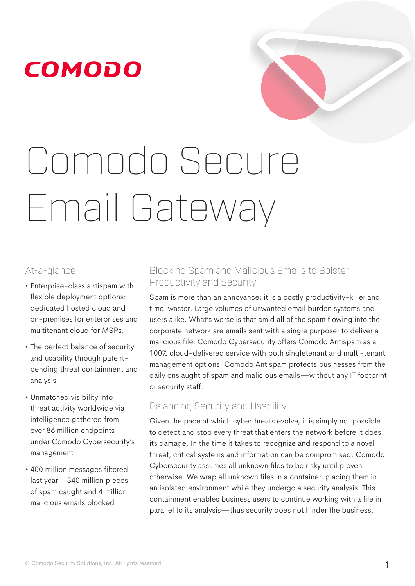# Comodo Secure Email Gateway

#### At-a-glance

- Enterprise-class antispam with flexible deployment options: dedicated hosted cloud and on-premises for enterprises and multitenant cloud for MSPs.
- The perfect balance of security and usability through patentpending threat containment and analysis
- Unmatched visibility into threat activity worldwide via intelligence gathered from over 86 million endpoints under Comodo Cybersecurity's management
- 400 million messages filtered last year—340 million pieces of spam caught and 4 million malicious emails blocked

#### Blocking Spam and Malicious Emails to Bolster Productivity and Security

Spam is more than an annoyance; it is a costly productivity-killer and time-waster. Large volumes of unwanted email burden systems and users alike. What's worse is that amid all of the spam flowing into the corporate network are emails sent with a single purpose: to deliver a malicious file. Comodo Cybersecurity offers Comodo Antispam as a 100% cloud-delivered service with both singletenant and multi-tenant management options. Comodo Antispam protects businesses from the daily onslaught of spam and malicious emails—without any IT footprint or security staff.

#### Balancing Security and Usability

Given the pace at which cyberthreats evolve, it is simply not possible to detect and stop every threat that enters the network before it does its damage. In the time it takes to recognize and respond to a novel threat, critical systems and information can be compromised. Comodo Cybersecurity assumes all unknown files to be risky until proven otherwise. We wrap all unknown files in a container, placing them in an isolated environment while they undergo a security analysis. This containment enables business users to continue working with a file in parallel to its analysis—thus security does not hinder the business.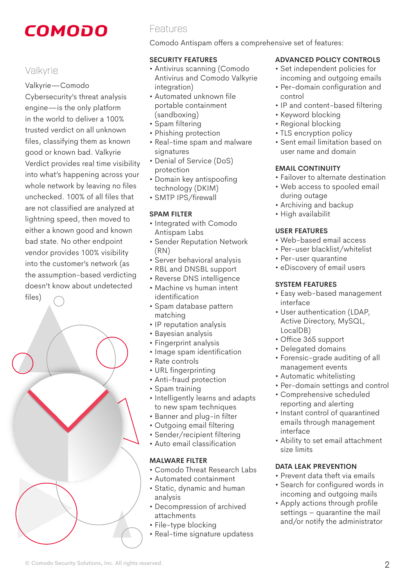#### Valkyrie

Valkyrie—Comodo

Cybersecurity's threat analysis engine—is the only platform in the world to deliver a 100% trusted verdict on all unknown files, classifying them as known good or known bad. Valkyrie Verdict provides real time visibility into what's happening across your whole network by leaving no files unchecked. 100% of all files that are not classified are analyzed at lightning speed, then moved to either a known good and known bad state. No other endpoint vendor provides 100% visibility into the customer's network (as the assumption-based verdicting doesn't know about undetected files)



#### Features

Comodo Antispam offers a comprehensive set of features:

#### **SECURITY FEATURES**

- Antivirus scanning (Comodo Antivirus and Comodo Valkyrie integration)
- Automated unknown file portable containment (sandboxing)
- Spam filtering
- Phishing protection
- Real-time spam and malware signatures
- Denial of Service (DoS) protection
- Domain key antispoofing technology (DKIM)
- SMTP IPS/firewall

#### **SPAM FILTER**

- Integrated with Comodo Antispam Labs
- Sender Reputation Network (RN)
- Server behavioral analysis
- RBL and DNSBL support
- Reverse DNS intelligence
- Machine vs human intent identification
- Spam database pattern matching
- IP reputation analysis
- Bayesian analysis
- Fingerprint analysis
- Image spam identification
- Rate controls
- URL fingerprinting
- Anti-fraud protection
- Spam training
- Intelligently learns and adapts to new spam techniques
- Banner and plug-in filter
- Outgoing email filtering
- Sender/recipient filtering
- Auto email classification

#### **MALWARE FILTER**

- Comodo Threat Research Labs
- Automated containment
- Static, dynamic and human analysis
- Decompression of archived attachments
- File-type blocking
- Real-time signature updatess

#### **ADVANCED POLICY CONTROLS**

- Set independent policies for incoming and outgoing emails
- Per-domain configuration and control
- IP and content-based filtering
- Keyword blocking
- Regional blocking
- TLS encryption policy
- Sent email limitation based on user name and domain

#### **EMAIL CONTINUITY**

- Failover to alternate destination
- Web access to spooled email during outage
- Archiving and backup
- High availabilit

#### **USER FEATURES**

- Web-based email access
- Per-user blacklist/whitelist
- Per-user quarantine
- eDiscovery of email users

#### **SYSTEM FEATURES**

- Easy web-based management interface
- User authentication (LDAP, Active Directory, MySQL, LocalDB)
- Office 365 support
- Delegated domains
- Forensic-grade auditing of all management events
- Automatic whitelisting
- Per-domain settings and control
- Comprehensive scheduled reporting and alerting
- Instant control of quarantined emails through management interface
- Ability to set email attachment size limits

#### **DATA LEAK PREVENTION**

- Prevent data theft via emails
- Search for configured words in incoming and outgoing mails
- Apply actions through profile settings – quarantine the mail and/or notify the administrator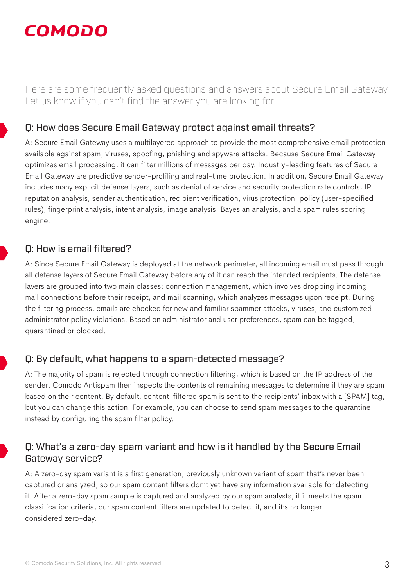Here are some frequently asked questions and answers about Secure Email Gateway. Let us know if you can't find the answer you are looking for!

#### Q: How does Secure Email Gateway protect against email threats?

A: Secure Email Gateway uses a multilayered approach to provide the most comprehensive email protection available against spam, viruses, spoofing, phishing and spyware attacks. Because Secure Email Gateway optimizes email processing, it can filter millions of messages per day. Industry-leading features of Secure Email Gateway are predictive sender-profiling and real-time protection. In addition, Secure Email Gateway includes many explicit defense layers, such as denial of service and security protection rate controls, IP reputation analysis, sender authentication, recipient verification, virus protection, policy (user-specified rules), fingerprint analysis, intent analysis, image analysis, Bayesian analysis, and a spam rules scoring engine.

#### Q: How is email filtered?

A: Since Secure Email Gateway is deployed at the network perimeter, all incoming email must pass through all defense layers of Secure Email Gateway before any of it can reach the intended recipients. The defense layers are grouped into two main classes: connection management, which involves dropping incoming mail connections before their receipt, and mail scanning, which analyzes messages upon receipt. During the filtering process, emails are checked for new and familiar spammer attacks, viruses, and customized administrator policy violations. Based on administrator and user preferences, spam can be tagged, quarantined or blocked.

#### Q: By default, what happens to a spam-detected message?

A: The majority of spam is rejected through connection filtering, which is based on the IP address of the sender. Comodo Antispam then inspects the contents of remaining messages to determine if they are spam based on their content. By default, content-filtered spam is sent to the recipients' inbox with a [SPAM] tag, but you can change this action. For example, you can choose to send spam messages to the quarantine instead by configuring the spam filter policy.

#### Q: What's a zero-day spam variant and how is it handled by the Secure Email Gateway service?

A: A zero-day spam variant is a first generation, previously unknown variant of spam that's never been captured or analyzed, so our spam content filters don't yet have any information available for detecting it. After a zero-day spam sample is captured and analyzed by our spam analysts, if it meets the spam classification criteria, our spam content filters are updated to detect it, and it's no longer considered zero-day.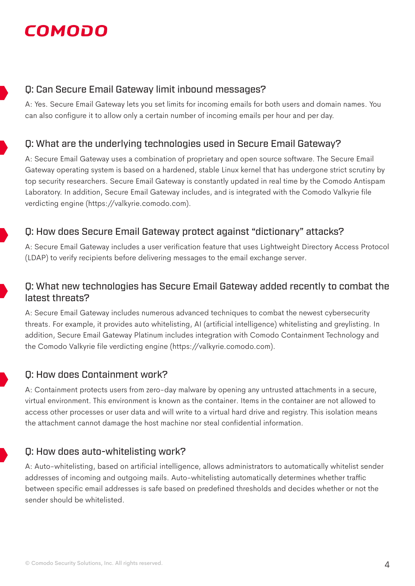#### Q: Can Secure Email Gateway limit inbound messages?

A: Yes. Secure Email Gateway lets you set limits for incoming emails for both users and domain names. You can also configure it to allow only a certain number of incoming emails per hour and per day.

#### Q: What are the underlying technologies used in Secure Email Gateway?

A: Secure Email Gateway uses a combination of proprietary and open source software. The Secure Email Gateway operating system is based on a hardened, stable Linux kernel that has undergone strict scrutiny by top security researchers. Secure Email Gateway is constantly updated in real time by the Comodo Antispam Laboratory. In addition, Secure Email Gateway includes, and is integrated with the Comodo Valkyrie file verdicting engine (https://valkyrie.comodo.com).

#### Q: How does Secure Email Gateway protect against "dictionary" attacks?

A: Secure Email Gateway includes a user verification feature that uses Lightweight Directory Access Protocol (LDAP) to verify recipients before delivering messages to the email exchange server.

#### Q: What new technologies has Secure Email Gateway added recently to combat the latest threats?

A: Secure Email Gateway includes numerous advanced techniques to combat the newest cybersecurity threats. For example, it provides auto whitelisting, AI (artificial intelligence) whitelisting and greylisting. In addition, Secure Email Gateway Platinum includes integration with Comodo Containment Technology and the Comodo Valkyrie file verdicting engine (https://valkyrie.comodo.com).

#### Q: How does Containment work?

A: Containment protects users from zero-day malware by opening any untrusted attachments in a secure, virtual environment. This environment is known as the container. Items in the container are not allowed to access other processes or user data and will write to a virtual hard drive and registry. This isolation means the attachment cannot damage the host machine nor steal confidential information.

#### Q: How does auto-whitelisting work?

A: Auto-whitelisting, based on artificial intelligence, allows administrators to automatically whitelist sender addresses of incoming and outgoing mails. Auto-whitelisting automatically determines whether traffic between specific email addresses is safe based on predefined thresholds and decides whether or not the sender should be whitelisted.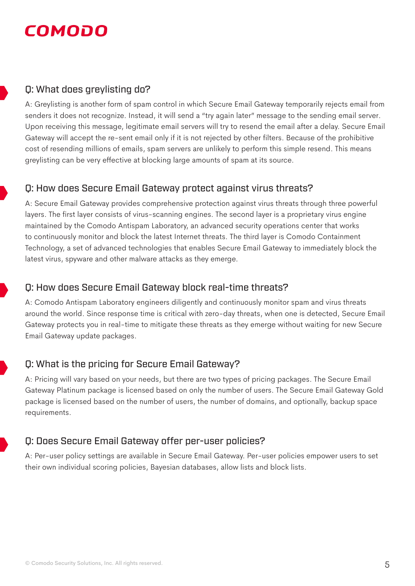#### Q: What does greylisting do?

A: Greylisting is another form of spam control in which Secure Email Gateway temporarily rejects email from senders it does not recognize. Instead, it will send a "try again later" message to the sending email server. Upon receiving this message, legitimate email servers will try to resend the email after a delay. Secure Email Gateway will accept the re-sent email only if it is not rejected by other filters. Because of the prohibitive cost of resending millions of emails, spam servers are unlikely to perform this simple resend. This means greylisting can be very effective at blocking large amounts of spam at its source.

#### Q: How does Secure Email Gateway protect against virus threats?

A: Secure Email Gateway provides comprehensive protection against virus threats through three powerful layers. The first layer consists of virus-scanning engines. The second layer is a proprietary virus engine maintained by the Comodo Antispam Laboratory, an advanced security operations center that works to continuously monitor and block the latest Internet threats. The third layer is Comodo Containment Technology, a set of advanced technologies that enables Secure Email Gateway to immediately block the latest virus, spyware and other malware attacks as they emerge.

#### Q: How does Secure Email Gateway block real-time threats?

A: Comodo Antispam Laboratory engineers diligently and continuously monitor spam and virus threats around the world. Since response time is critical with zero-day threats, when one is detected, Secure Email Gateway protects you in real-time to mitigate these threats as they emerge without waiting for new Secure Email Gateway update packages.

#### Q: What is the pricing for Secure Email Gateway?

A: Pricing will vary based on your needs, but there are two types of pricing packages. The Secure Email Gateway Platinum package is licensed based on only the number of users. The Secure Email Gateway Gold package is licensed based on the number of users, the number of domains, and optionally, backup space requirements.

#### Q: Does Secure Email Gateway offer per-user policies?

A: Per-user policy settings are available in Secure Email Gateway. Per-user policies empower users to set their own individual scoring policies, Bayesian databases, allow lists and block lists.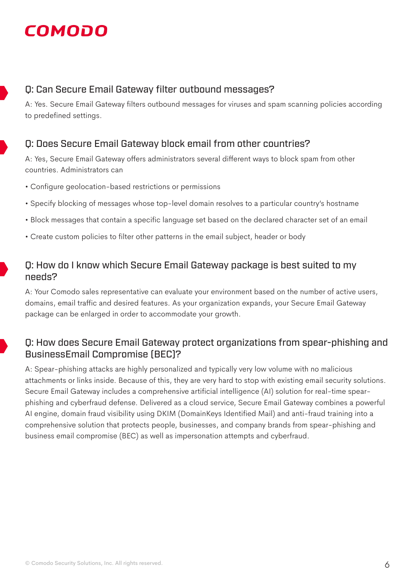#### Q: Can Secure Email Gateway filter outbound messages?

A: Yes. Secure Email Gateway filters outbound messages for viruses and spam scanning policies according to predefined settings.



#### Q: Does Secure Email Gateway block email from other countries?

A: Yes, Secure Email Gateway offers administrators several different ways to block spam from other countries. Administrators can

- Configure geolocation-based restrictions or permissions
- Specify blocking of messages whose top-level domain resolves to a particular country's hostname
- Block messages that contain a specific language set based on the declared character set of an email
- Create custom policies to filter other patterns in the email subject, header or body

#### Q: How do I know which Secure Email Gateway package is best suited to my needs?

A: Your Comodo sales representative can evaluate your environment based on the number of active users, domains, email traffic and desired features. As your organization expands, your Secure Email Gateway package can be enlarged in order to accommodate your growth.

#### Q: How does Secure Email Gateway protect organizations from spear-phishing and BusinessEmail Compromise (BEC)?

A: Spear-phishing attacks are highly personalized and typically very low volume with no malicious attachments or links inside. Because of this, they are very hard to stop with existing email security solutions. Secure Email Gateway includes a comprehensive artificial intelligence (AI) solution for real-time spearphishing and cyberfraud defense. Delivered as a cloud service, Secure Email Gateway combines a powerful AI engine, domain fraud visibility using DKIM (DomainKeys Identified Mail) and anti-fraud training into a comprehensive solution that protects people, businesses, and company brands from spear-phishing and business email compromise (BEC) as well as impersonation attempts and cyberfraud.